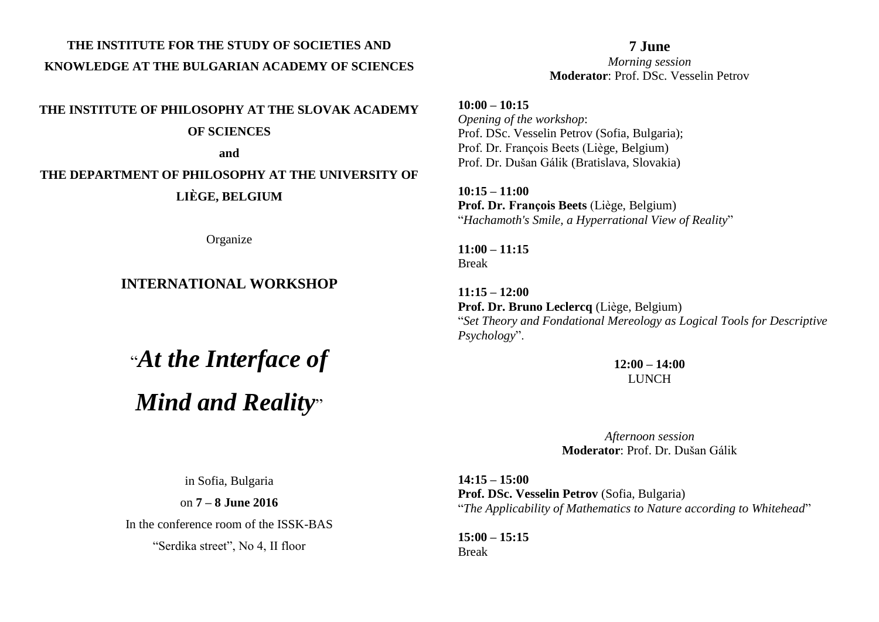## **THE INSTITUTE FOR THE STUDY OF SOCIETIES AND KNOWLEDGE AT THE BULGARIAN ACADEMY OF SCIENCES**

**THE INSTITUTE OF PHILOSOPHY AT THE SLOVAK ACADEMY OF SCIENCES**

**and** 

## **THE DEPARTMENT OF PHILOSOPHY AT THE UNIVERSITY OF LIÈGE, BELGIUM**

**Organize** 

## **INTERNATIONAL WORKSHOP**

## "*At the Interface of Mind and Reality*"

**7 June** *Morning session* **Moderator**: Prof. DSc. Vesselin Petrov

**10:00 – 10:15**  *Opening of the workshop*: Prof. DSc. Vesselin Petrov (Sofia, Bulgaria); Prof. Dr. François Beets (Liège, Belgium) Prof. Dr. Dušan Gálik (Bratislava, Slovakia)

**10:15 – 11:00 Prof. Dr. François Beets** (Liège, Belgium) "*Hachamoth's Smile, a Hyperrational View of Reality*"

**11:00 – 11:15** Break

**11:15 – 12:00 Prof. Dr. Bruno Leclercq** (Liège, Belgium) "*Set Theory and Fondational Mereology as Logical Tools for Descriptive Psychology*".

> **12:00 – 14:00 LUNCH**

*Afternoon session* **Moderator**: Prof. Dr. Dušan Gálik

**14:15 – 15:00 Prof. DSc. Vesselin Petrov** (Sofia, Bulgaria) "*The Applicability of Mathematics to Nature according to Whitehead*"

**15:00 – 15:15** Break

in Sofia, Bulgaria

on **7 – 8 June 2016**

In the conference room of the ISSK-BAS

"Serdika street", No 4, II floor